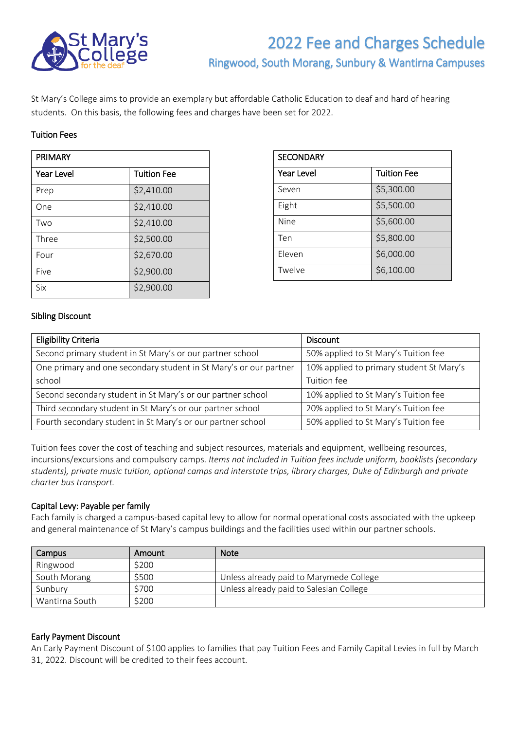

# 2022 Fee and Charges Schedule Ringwood, South Morang, Sunbury & Wantirna Campuses

St Mary's College aims to provide an exemplary but affordable Catholic Education to deaf and hard of hearing students. On this basis, the following fees and charges have been set for 2022.

# Tuition Fees

| <b>PRIMARY</b>    |                    |  |
|-------------------|--------------------|--|
| <b>Year Level</b> | <b>Tuition Fee</b> |  |
| Prep              | \$2,410.00         |  |
| One               | \$2,410.00         |  |
| Two               | \$2,410.00         |  |
| Three             | \$2,500.00         |  |
| Four              | \$2,670.00         |  |
| Five              | \$2,900.00         |  |
| Six               | \$2,900.00         |  |

| <b>SECONDARY</b>  |                    |  |
|-------------------|--------------------|--|
| <b>Year Level</b> | <b>Tuition Fee</b> |  |
| Seven             | \$5,300.00         |  |
| Eight             | \$5,500.00         |  |
| Nine              | \$5,600.00         |  |
| Ten               | \$5,800.00         |  |
| Eleven            | \$6,000.00         |  |
| Twelve            | \$6,100.00         |  |

# Sibling Discount

| <b>Eligibility Criteria</b>                                       | <b>Discount</b>                          |
|-------------------------------------------------------------------|------------------------------------------|
| Second primary student in St Mary's or our partner school         | 50% applied to St Mary's Tuition fee     |
| One primary and one secondary student in St Mary's or our partner | 10% applied to primary student St Mary's |
| school                                                            | Tuition fee                              |
| Second secondary student in St Mary's or our partner school       | 10% applied to St Mary's Tuition fee     |
| Third secondary student in St Mary's or our partner school        | 20% applied to St Mary's Tuition fee     |
| Fourth secondary student in St Mary's or our partner school       | 50% applied to St Mary's Tuition fee     |

Tuition fees cover the cost of teaching and subject resources, materials and equipment, wellbeing resources, incursions/excursions and compulsory camps. *Items not included in Tuition fees include uniform, booklists (secondary students), private music tuition, optional camps and interstate trips, library charges, Duke of Edinburgh and private charter bus transport.*

# Capital Levy: Payable per family

Each family is charged a campus-based capital levy to allow for normal operational costs associated with the upkeep and general maintenance of St Mary's campus buildings and the facilities used within our partner schools.

| Campus         | Amount | <b>Note</b>                             |
|----------------|--------|-----------------------------------------|
| Ringwood       | \$200  |                                         |
| South Morang   | \$500  | Unless already paid to Marymede College |
| Sunbury        | \$700  | Unless already paid to Salesian College |
| Wantirna South | S200   |                                         |

# Early Payment Discount

An Early Payment Discount of \$100 applies to families that pay Tuition Fees and Family Capital Levies in full by March 31, 2022. Discount will be credited to their fees account.